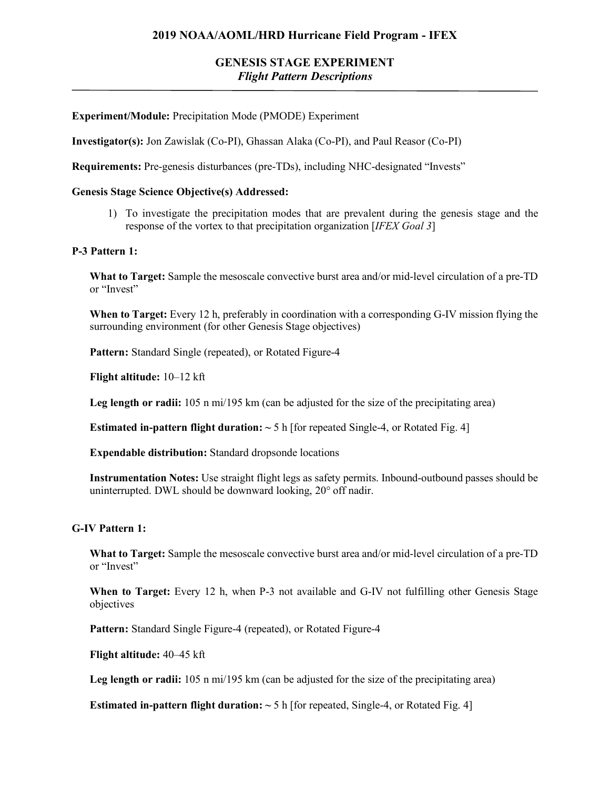# **GENESIS STAGE EXPERIMENT** *Flight Pattern Descriptions*

## **Experiment/Module:** Precipitation Mode (PMODE) Experiment

**Investigator(s):** Jon Zawislak (Co-PI), Ghassan Alaka (Co-PI), and Paul Reasor (Co-PI)

**Requirements:** Pre-genesis disturbances (pre-TDs), including NHC-designated "Invests"

### **Genesis Stage Science Objective(s) Addressed:**

1) To investigate the precipitation modes that are prevalent during the genesis stage and the response of the vortex to that precipitation organization [*IFEX Goal 3*]

#### **P-3 Pattern 1:**

**What to Target:** Sample the mesoscale convective burst area and/or mid-level circulation of a pre-TD or "Invest"

**When to Target:** Every 12 h, preferably in coordination with a corresponding G-IV mission flying the surrounding environment (for other Genesis Stage objectives)

**Pattern:** Standard Single (repeated), or Rotated Figure-4

**Flight altitude:** 10–12 kft

**Leg length or radii:** 105 n mi/195 km (can be adjusted for the size of the precipitating area)

**Estimated in-pattern flight duration:**  $\sim$  5 h [for repeated Single-4, or Rotated Fig. 4]

**Expendable distribution:** Standard dropsonde locations

**Instrumentation Notes:** Use straight flight legs as safety permits. Inbound-outbound passes should be uninterrupted. DWL should be downward looking, 20° off nadir.

#### **G-IV Pattern 1:**

**What to Target:** Sample the mesoscale convective burst area and/or mid-level circulation of a pre-TD or "Invest"

**When to Target:** Every 12 h, when P-3 not available and G-IV not fulfilling other Genesis Stage objectives

**Pattern:** Standard Single Figure-4 (repeated), or Rotated Figure-4

**Flight altitude:** 40–45 kft

Leg length or radii: 105 n mi/195 km (can be adjusted for the size of the precipitating area)

**Estimated in-pattern flight duration:**  $\sim$  5 h [for repeated, Single-4, or Rotated Fig. 4]